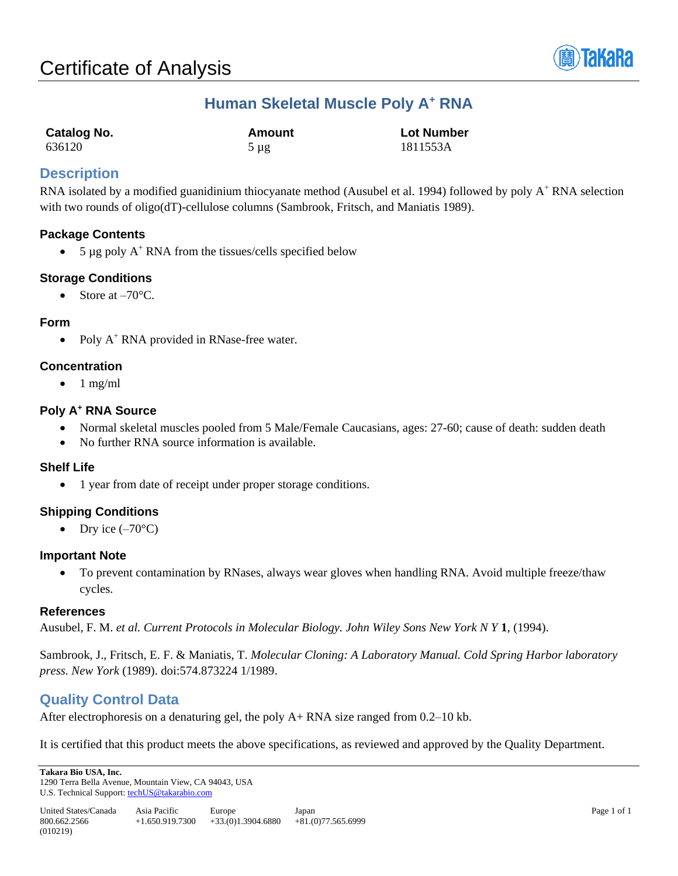

# **Human Skeletal Muscle Poly A<sup>+</sup> RNA**

| <b>Catalog No.</b> | <b>Amount</b> | <b>Lot Number</b> |
|--------------------|---------------|-------------------|
| 636120             | $5 \mu$ g     | 1811553A          |

## **Description**

RNA isolated by a modified guanidinium thiocyanate method (Ausubel et al. 1994) followed by poly A<sup>+</sup> RNA selection with two rounds of oligo(dT)-cellulose columns (Sambrook, Fritsch, and Maniatis 1989).

## **Package Contents**

• 5  $\mu$ g poly A<sup>+</sup> RNA from the tissues/cells specified below

## **Storage Conditions**

• Store at  $-70^{\circ}$ C.

#### **Form**

• Poly  $A^+$  RNA provided in RNase-free water.

#### **Concentration**

 $\bullet$  1 mg/ml

## **Poly A<sup>+</sup> RNA Source**

- Normal skeletal muscles pooled from 5 Male/Female Caucasians, ages: 27-60; cause of death: sudden death
- No further RNA source information is available.

## **Shelf Life**

• 1 year from date of receipt under proper storage conditions.

## **Shipping Conditions**

• Dry ice  $(-70^{\circ}C)$ 

## **Important Note**

• To prevent contamination by RNases, always wear gloves when handling RNA. Avoid multiple freeze/thaw cycles.

## **References**

Ausubel, F. M. *et al. Current Protocols in Molecular Biology. John Wiley Sons New York N Y* **1**, (1994).

Sambrook, J., Fritsch, E. F. & Maniatis, T. *Molecular Cloning: A Laboratory Manual. Cold Spring Harbor laboratory press. New York* (1989). doi:574.873224 1/1989.

## **Quality Control Data**

After electrophoresis on a denaturing gel, the poly A+ RNA size ranged from 0.2–10 kb.

It is certified that this product meets the above specifications, as reviewed and approved by the Quality Department.

**Takara Bio USA, Inc.**  1290 Terra Bella Avenue, Mountain View, CA 94043, USA U.S. Technical Support[: techUS@takarabio.com](mailto:techUS@takarabio.com)